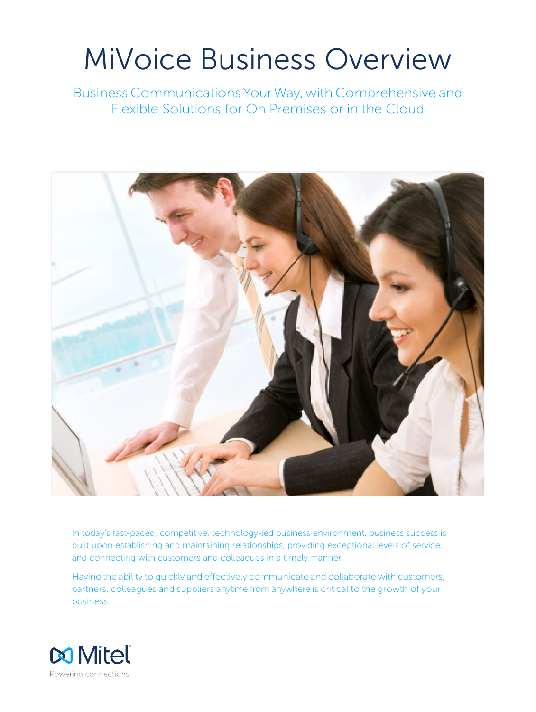# MiVoice Business Overview

Business Communications YourWay,with Comprehensive and Flexible Solutions for On Premises or in the Cloud



In today's fast-paced, competitive, technology-led business environment, business success is built upon establishing and maintaining relationships, providing exceptional levels of service, and connecting with customers and colleagues in a timely manner.

Having the ability to quickly and effectively communicate and collaborate with customers, partners, colleagues and suppliers anytime from anywhere is critical to the growth of your business.

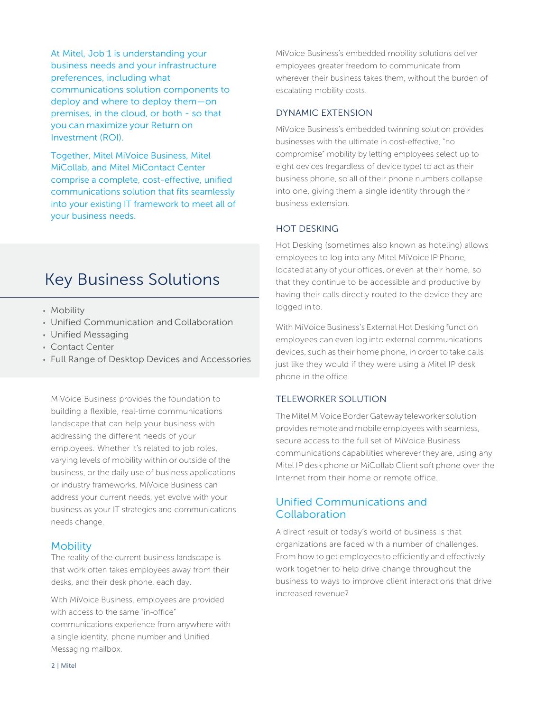At Mitel, Job 1 is understanding your business needs and your infrastructure preferences, including what communications solution components to deploy and where to deploy them—on premises, in the cloud, or both - so that you can maximize your Return on Investment (ROI).

Together, Mitel MiVoice Business, Mitel MiCollab, and Mitel MiContact Center comprise a complete, cost-effective, unified communications solution that fits seamlessly into your existing IT framework to meet all of your business needs.

## Key Business Solutions

- Mobility
- Unified Communication and Collaboration
- Unified Messaging
- Contact Center
- Full Range of Desktop Devices and Accessories

MiVoice Business provides the foundation to building a flexible, real-time communications landscape that can help your business with addressing the different needs of your employees. Whether it's related to job roles, varying levels of mobility within or outside of the business, or the daily use of business applications or industry frameworks, MiVoice Business can address your current needs, yet evolve with your business as your IT strategies and communications needs change.

### **Mobility**

The reality of the current business landscape is that work often takes employees away from their desks, and their desk phone, each day.

With MiVoice Business, employees are provided with access to the same "in-office" communications experience from anywhere with a single identity, phone number and Unified Messaging mailbox.

MiVoice Business's embedded mobility solutions deliver employees greater freedom to communicate from wherever their business takes them, without the burden of escalating mobility costs.

## DYNAMIC EXTENSION

MiVoice Business's embedded twinning solution provides businesses with the ultimate in cost-effective, "no compromise" mobility by letting employees select up to eight devices (regardless of device type) to act as their business phone, so all of their phone numbers collapse into one, giving them a single identity through their business extension.

## HOT DESKING

Hot Desking (sometimes also known as hoteling) allows employees to log into any Mitel MiVoice IP Phone, located at any of your offices, or even at their home, so that they continue to be accessible and productive by having their calls directly routed to the device they are logged in to.

With MiVoice Business's External Hot Desking function employees can even log into external communications devices, such as their home phone, in order to take calls just like they would if they were using a Mitel IP desk phone in the office.

## TELEWORKER SOLUTION

The Mitel MiVoice Border Gateway teleworker solution provides remote and mobile employees with seamless, secure access to the full set of MiVoice Business communications capabilities wherever they are, using any Mitel IP desk phone or MiCollab Client soft phone over the Internet from their home or remote office.

## Unified Communications and Collaboration

A direct result of today's world of business is that organizations are faced with a number of challenges. From how to get employees to efficiently and effectively work together to help drive change throughout the business to ways to improve client interactions that drive increased revenue?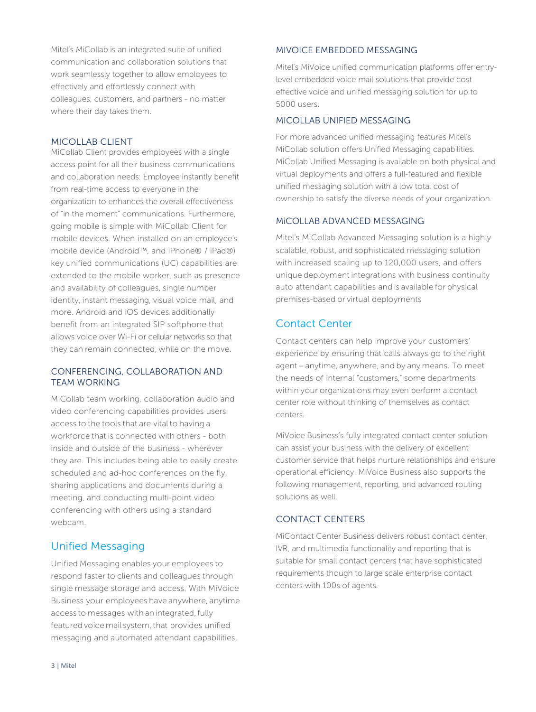Mitel's MiCollab is an integrated suite of unified communication and collaboration solutions that work seamlessly together to allow employees to effectively and effortlessly connect with colleagues, customers, and partners - no matter where their day takes them.

## MICOLLAB CLIENT

MiCollab Client provides employees with a single access point for all their business communications and collaboration needs. Employee instantly benefit from real-time access to everyone in the organization to enhances the overall effectiveness of "in the moment" communications. Furthermore, going mobile is simple with MiCollab Client for mobile devices. When installed on an employee's mobile device (Android™, and iPhone® / iPad®) key unified communications (UC) capabilities are extended to the mobile worker, such as presence and availability of colleagues, single number identity, instant messaging, visual voice mail, and more. Android and iOS devices additionally benefit from an integrated SIP softphone that allows voice over Wi-Fi or cellular networks so that they can remain connected, while on the move.

## CONFERENCING, COLLABORATION AND TEAM WORKING

MiCollab team working, collaboration audio and video conferencing capabilities provides users access to the tools that are vital to having a workforce that is connected with others - both inside and outside of the business - wherever they are. This includes being able to easily create scheduled and ad-hoc conferences on the fly, sharing applications and documents during a meeting, and conducting multi-point video conferencing with others using a standard webcam.

## Unified Messaging

Unified Messaging enables your employees to respond faster to clients and colleagues through single message storage and access. With MiVoice Business your employees have anywhere, anytime access to messages with an integrated, fully featured voice mail system, that provides unified messaging and automated attendant capabilities.

## MIVOICE EMBEDDED MESSAGING

Mitel's MiVoice unified communication platforms offer entrylevel embedded voice mail solutions that provide cost effective voice and unified messaging solution for up to 5000 users.

## MICOLLAB UNIFIED MESSAGING

For more advanced unified messaging features Mitel's MiCollab solution offers Unified Messaging capabilities. MiCollab Unified Messaging is available on both physical and virtual deployments and offers a full-featured and flexible unified messaging solution with a low total cost of ownership to satisfy the diverse needs of your organization.

## MiCOLLAB ADVANCED MESSAGING

Mitel's MiCollab Advanced Messaging solution is a highly scalable, robust, and sophisticated messaging solution with increased scaling up to 120,000 users, and offers unique deployment integrations with business continuity auto attendant capabilities and is available for physical premises-based or virtual deployments

## Contact Center

Contact centers can help improve your customers' experience by ensuring that calls always go to the right agent – anytime, anywhere, and by any means. To meet the needs of internal "customers," some departments within your organizations may even perform a contact center role without thinking of themselves as contact centers.

MiVoice Business's fully integrated contact center solution can assist your business with the delivery of excellent customer service that helps nurture relationships and ensure operational efficiency. MiVoice Business also supports the following management, reporting, and advanced routing solutions as well.

## CONTACT CENTERS

MiContact Center Business delivers robust contact center, IVR, and multimedia functionality and reporting that is suitable for small contact centers that have sophisticated requirements though to large scale enterprise contact centers with 100s of agents.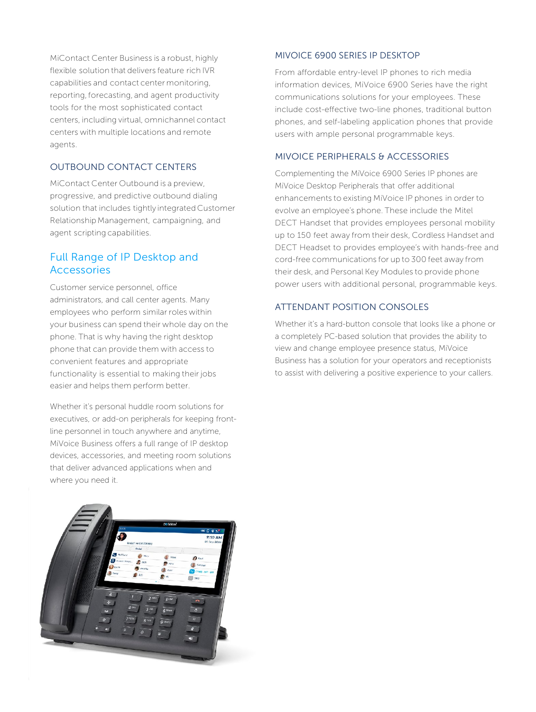MiContact Center Business is a robust, highly flexible solution that delivers feature rich IVR capabilities and contact center monitoring, reporting, forecasting, and agent productivity tools for the most sophisticated contact centers, including virtual, omnichannel contact centers with multiple locations and remote agents.

## OUTBOUND CONTACT CENTERS

MiContact Center Outbound is a preview, progressive, and predictive outbound dialing solution that includes tightly integrated Customer Relationship Management, campaigning, and agent scripting capabilities.

## Full Range of IP Desktop and Accessories

Customer service personnel, office administrators, and call center agents. Many employees who perform similar roles within your business can spend their whole day on the phone. That is why having the right desktop phone that can provide them with access to convenient features and appropriate functionality is essential to making their jobs easier and helps them perform better.

Whether it's personal huddle room solutions for executives, or add-on peripherals for keeping frontline personnel in touch anywhere and anytime, MiVoice Business offers a full range of IP desktop devices, accessories, and meeting room solutions that deliver advanced applications when and where you need it.

# 9:10 AM

## MIVOICE 6900 SERIES IP DESKTOP

From affordable entry-level IP phones to rich media information devices, MiVoice 6900 Series have the right communications solutions for your employees. These include cost-effective two-line phones, traditional button phones, and self-labeling application phones that provide users with ample personal programmable keys.

## MIVOICE PERIPHERALS & ACCESSORIES

Complementing the MiVoice 6900 Series IP phones are MiVoice Desktop Peripherals that offer additional enhancements to existing MiVoice IP phones in order to evolve an employee's phone. These include the Mitel DECT Handset that provides employees personal mobility up to 150 feet away from their desk, Cordless Handset and DECT Headset to provides employee's with hands-free and cord-free communications for up to 300 feet away from their desk, and Personal Key Modules to provide phone power users with additional personal, programmable keys.

## ATTENDANT POSITION CONSOLES

Whether it's a hard-button console that looks like a phone or a completely PC-based solution that provides the ability to view and change employee presence status, MiVoice Business has a solution for your operators and receptionists to assist with delivering a positive experience to your callers.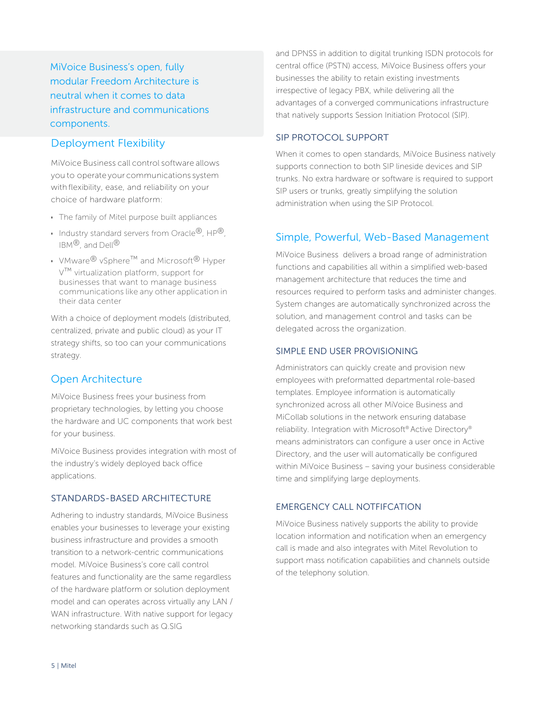MiVoice Business's open, fully modular Freedom Architecture is neutral when it comes to data infrastructure and communications components.

## Deployment Flexibility

MiVoice Business call control software allows you to operate your communications system with flexibility, ease, and reliability on your choice of hardware platform:

- The family of Mitel purpose built appliances
- Industry standard servers from Oracle®, HP®,  $IRM^{\circledR}$  and Dell $^{\circledR}$
- VMware® vSphere™ and Microsoft® Hyper V™ virtualization platform, support for businesses that want to manage business communications like any other application in their data center

With a choice of deployment models (distributed, centralized, private and public cloud) as your IT strategy shifts, so too can your communications strategy.

## Open Architecture

MiVoice Business frees your business from proprietary technologies, by letting you choose the hardware and UC components that work best for your business.

MiVoice Business provides integration with most of the industry's widely deployed back office applications.

## STANDARDS-BASED ARCHITECTURE

Adhering to industry standards, MiVoice Business enables your businesses to leverage your existing business infrastructure and provides a smooth transition to a network-centric communications model. MiVoice Business's core call control features and functionality are the same regardless of the hardware platform or solution deployment model and can operates across virtually any LAN / WAN infrastructure. With native support for legacy networking standards such as Q.SIG

and DPNSS in addition to digital trunking ISDN protocols for central office (PSTN) access, MiVoice Business offers your businesses the ability to retain existing investments irrespective of legacy PBX, while delivering all the advantages of a converged communications infrastructure that natively supports Session Initiation Protocol (SIP).

## SIP PROTOCOL SUPPORT

When it comes to open standards, MiVoice Business natively supports connection to both SIP lineside devices and SIP trunks. No extra hardware or software is required to support SIP users or trunks, greatly simplifying the solution administration when using the SIP Protocol.

## Simple, Powerful, Web-Based Management

MiVoice Business delivers a broad range of administration functions and capabilities all within a simplified web-based management architecture that reduces the time and resources required to perform tasks and administer changes. System changes are automatically synchronized across the solution, and management control and tasks can be delegated across the organization.

## SIMPLE END USER PROVISIONING

Administrators can quickly create and provision new employees with preformatted departmental role-based templates. Employee information is automatically synchronized across all other MiVoice Business and MiCollab solutions in the network ensuring database reliability. Integration with Microsoft® Active Directory® means administrators can configure a user once in Active Directory, and the user will automatically be configured within MiVoice Business – saving your business considerable time and simplifying large deployments.

## EMERGENCY CALL NOTFIFCATION

MiVoice Business natively supports the ability to provide location information and notification when an emergency call is made and also integrates with Mitel Revolution to support mass notification capabilities and channels outside of the telephony solution.